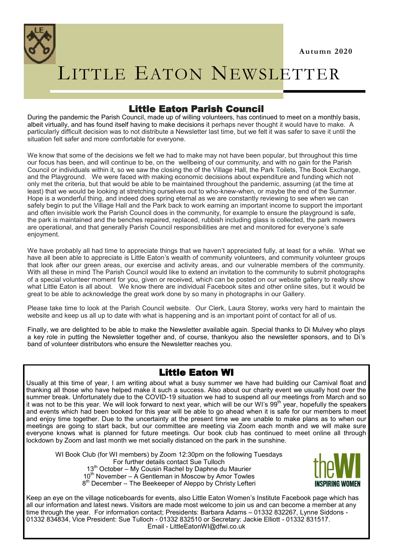

# LITTLE EATON NEWSLETTER

# Little Eaton Parish Council

During the pandemic the Parish Council, made up of willing volunteers, has continued to meet on a monthly basis, albeit virtually, and has found itself having to make decisions it perhaps never thought it would have to make. A particularly difficult decision was to not distribute a Newsletter last time, but we felt it was safer to save it until the situation felt safer and more comfortable for everyone.

We know that some of the decisions we felt we had to make may not have been popular, but throughout this time our focus has been, and will continue to be, on the wellbeing of our community, and with no gain for the Parish Council or individuals within it, so we saw the closing the of the Village Hall, the Park Toilets, The Book Exchange, and the Playground. We were faced with making economic decisions about expenditure and funding which not only met the criteria, but that would be able to be maintained throughout the pandemic, assuming (at the time at least) that we would be looking at stretching ourselves out to who-knew-when, or maybe the end of the Summer. Hope is a wonderful thing, and indeed does spring eternal as we are constantly reviewing to see when we can safely begin to put the Village Hall and the Park back to work earning an important income to support the important and often invisible work the Parish Council does in the community, for example to ensure the playground is safe, the park is maintained and the benches repaired, replaced, rubbish including glass is collected, the park mowers are operational, and that generally Parish Council responsibilities are met and monitored for everyone's safe enjoyment.

We have probably all had time to appreciate things that we haven't appreciated fully, at least for a while. What we have all been able to appreciate is Little Eaton's wealth of community volunteers, and community volunteer groups that look after our green areas, our exercise and activity areas, and our vulnerable members of the community. With all these in mind The Parish Council would like to extend an invitation to the community to submit photographs of a special volunteer moment for you, given or received, which can be posted on our website gallery to really show what Little Eaton is all about. We know there are individual Facebook sites and other online sites, but it would be great to be able to acknowledge the great work done by so many in photographs in our Gallery.

Please take time to look at the Parish Council website. Our Clerk, Laura Storey, works very hard to maintain the website and keep us all up to date with what is happening and is an important point of contact for all of us.

Finally, we are delighted to be able to make the Newsletter available again. Special thanks to Di Mulvey who plays a key role in putting the Newsletter together and, of course, thankyou also the newsletter sponsors, and to Di's band of volunteer distributors who ensure the Newsletter reaches you.

# Little Eaton WI

Usually at this time of year, I am writing about what a busy summer we have had building our Carnival float and thanking all those who have helped make it such a success. Also about our charity event we usually host over the summer break. Unfortunately due to the COVID-19 situation we had to suspend all our meetings from March and so it was not to be this year. We will look forward to next year, which will be our WI's 99th year, hopefully the speakers and events which had been booked for this year will be able to go ahead when it is safe for our members to meet and enjoy time together. Due to the uncertainty at the present time we are unable to make plans as to when our meetings are going to start back, but our committee are meeting via Zoom each month and we will make sure everyone knows what is planned for future meetings. Our book club has continued to meet online all through lockdown by Zoom and last month we met socially distanced on the park in the sunshine.

WI Book Club (for WI members) by Zoom 12:30pm on the following Tuesdays For further details contact Sue Tulloch 13<sup>th</sup> October – My Cousin Rachel by Daphne du Maurier  $10^{th}$  November – A Gentleman in Moscow by Amor Towles 8<sup>th</sup> December – The Beekeeper of Aleppo by Christy Lefteri



Keep an eye on the village noticeboards for events, also Little Eaton Women's Institute Facebook page which has all our information and latest news. Visitors are made most welcome to join us and can become a member at any time through the year. For information contact; Presidents: Barbara Adams – 01332 832267, Lynne Siddons - 01332 834834, Vice President: Sue Tulloch - 01332 832510 or Secretary: Jackie Elliott - 01332 831517. Email - LittleEatonWI@dfwi.co.uk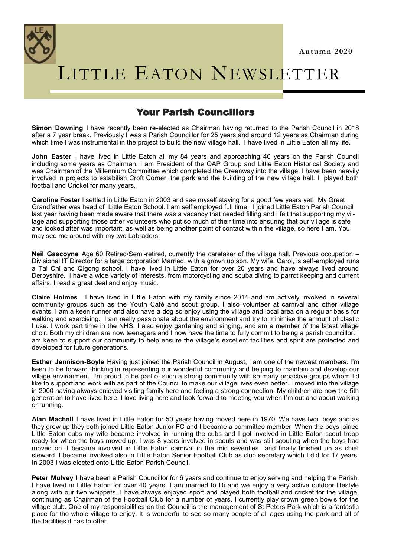

# LITTLE EATON NEWSLETTER

# Your Parish Councillors

**Simon Downing** I have recently been re-elected as Chairman having returned to the Parish Council in 2018 after a 7 year break. Previously I was a Parish Councillor for 25 years and around 12 years as Chairman during which time I was instrumental in the project to build the new village hall. I have lived in Little Eaton all my life.

**John Easter** I have lived in Little Eaton all my 84 years and approaching 40 years on the Parish Council including some years as Chairman. I am President of the OAP Group and Little Eaton Historical Society and was Chairman of the Millennium Committee which completed the Greenway into the village. I have been heavily involved in projects to estabilish Croft Corner, the park and the building of the new village hall. I played both football and Cricket for many years.

**Caroline Foster** I settled in Little Eaton in 2003 and see myself staying for a good few years yet! My Great Grandfather was head of Little Eaton School. I am self employed full time. I joined Little Eaton Parish Council last year having been made aware that there was a vacancy that needed filling and I felt that supporting my village and supporting those other volunteers who put so much of their time into ensuring that our village is safe and looked after was important, as well as being another point of contact within the village, so here I am. You may see me around with my two Labradors.

**Neil Gascoyne** Age 60 Retired/Semi-retired, currently the caretaker of the village hall. Previous occupation – Divisional IT Director for a large corporation Married, with a grown up son. My wife, Carol, is self-employed runs a Tai Chi and Qigong school. I have lived in Little Eaton for over 20 years and have always lived around Derbyshire. I have a wide variety of interests, from motorcycling and scuba diving to parrot keeping and current affairs. I read a great deal and enjoy music.

**Claire Holmes** I have lived in Little Eaton with my family since 2014 and am actively involved in several community groups such as the Youth Café and scout group. I also volunteer at carnival and other village events. I am a keen runner and also have a dog so enjoy using the village and local area on a regular basis for walking and exercising. I am really passionate about the environment and try to minimise the amount of plastic I use. I work part time in the NHS. I also enjoy gardening and singing, and am a member of the latest village choir. Both my children are now teenagers and I now have the time to fully commit to being a parish councillor. I am keen to support our community to help ensure the village's excellent facilities and spirit are protected and developed for future generations.

**Esther Jennison-Boyle** Having just joined the Parish Council in August, I am one of the newest members. I'm keen to be forward thinking in representing our wonderful community and helping to maintain and develop our village environment. I'm proud to be part of such a strong community with so many proactive groups whom I'd like to support and work with as part of the Council to make our village lives even better. I moved into the village in 2000 having always enjoyed visiting family here and feeling a strong connection. My children are now the 5th generation to have lived here. I love living here and look forward to meeting you when I'm out and about walking or running.

**Alan Machell** I have lived in Little Eaton for 50 years having moved here in 1970. We have two boys and as they grew up they both joined Little Eaton Junior FC and I became a committee member When the boys joined Little Eaton cubs my wife became involved in running the cubs and I got involved in Little Eaton scout troop ready for when the boys moved up. I was 8 years involved in scouts and was still scouting when the boys had moved on. I became involved in Little Eaton carnival in the mid seventies and finally finished up as chief steward. I became involved also in Little Eaton Senior Football Club as club secretary which I did for 17 years. In 2003 I was elected onto Little Eaton Parish Council.

**Peter Mulvey** I have been a Parish Councillor for 6 years and continue to enjoy serving and helping the Parish. I have lived in Little Eaton for over 40 years, I am married to Di and we enjoy a very active outdoor lifestyle along with our two whippets. I have always enjoyed sport and played both football and cricket for the village, continuing as Chairman of the Football Club for a number of years. I currently play crown green bowls for the village club. One of my responsibilities on the Council is the management of St Peters Park which is a fantastic place for the whole village to enjoy. It is wonderful to see so many people of all ages using the park and all of the facilities it has to offer.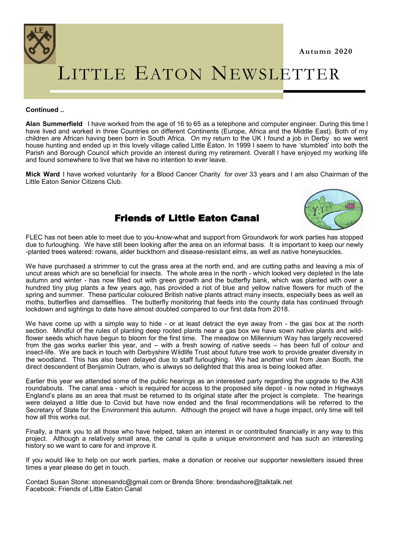

#### **Continued ..**

**Alan Summerfield** I have worked from the age of 16 to 65 as a telephone and computer engineer. During this time I have lived and worked in three Countries on different Continents (Europe, Africa and the Middle East). Both of my children are African having been born in South Africa. On my return to the UK I found a job in Derby so we went house hunting and ended up in this lovely village called Little Eaton. In 1999 I seem to have 'stumbled' into both the Parish and Borough Council which provide an interest during my retirement. Overall I have enjoyed my working life and found somewhere to live that we have no intention to ever leave.

**Mick Ward** I have worked voluntarily for a Blood Cancer Charity for over 33 years and I am also Chairman of the Little Eaton Senior Citizens Club.

# Friends of Little Eaton Canal



**Autumn 2020**

FLEC has not been able to meet due to you-know-what and support from Groundwork for work parties has stopped due to furloughing. We have still been looking after the area on an informal basis. It is important to keep our newly -planted trees watered: rowans, alder buckthorn and disease-resistant elms, as well as native honeysuckles.

We have purchased a strimmer to cut the grass area at the north end, and are cutting paths and leaving a mix of uncut areas which are so beneficial for insects. The whole area in the north - which looked very depleted in the late autumn and winter - has now filled out with green growth and the butterfly bank, which was planted with over a hundred tiny plug plants a few years ago, has provided a riot of blue and yellow native flowers for much of the spring and summer. These particular coloured British native plants attract many insects, especially bees as well as moths, butterflies and damselflies. The butterfly monitoring that feeds into the county data has continued through lockdown and sightings to date have almost doubled compared to our first data from 2018.

We have come up with a simple way to hide - or at least detract the eve away from - the gas box at the north section. Mindful of the rules of planting deep rooted plants near a gas box we have sown native plants and wildflower seeds which have begun to bloom for the first time. The meadow on Millennium Way has largely recovered from the gas works earlier this year, and – with a fresh sowing of native seeds – has been full of colour and insect-life. We are back in touch with Derbyshire Wildlife Trust about future tree work to provide greater diversity in the woodland. This has also been delayed due to staff furloughing. We had another visit from Jean Booth, the direct descendent of Benjamin Outram, who is always so delighted that this area is being looked after.

Earlier this year we attended some of the public hearings as an interested party regarding the upgrade to the A38 roundabouts. The canal area - which is required for access to the proposed site depot - is now noted in Highways England's plans as an area that must be returned to its original state after the project is complete. The hearings were delayed a little due to Covid but have now ended and the final recommendations will be referred to the Secretary of State for the Environment this autumn. Although the project will have a huge impact, only time will tell how all this works out.

Finally, a thank you to all those who have helped, taken an interest in or contributed financially in any way to this project. Although a relatively small area, the canal is quite a unique environment and has such an interesting history so we want to care for and improve it.

If you would like to help on our work parties, make a donation or receive our supporter newsletters issued three times a year please do get in touch.

Contact Susan Stone: stonesandc@gmail.com or Brenda Shore: brendashore@talktalk.net Facebook: Friends of Little Eaton Canal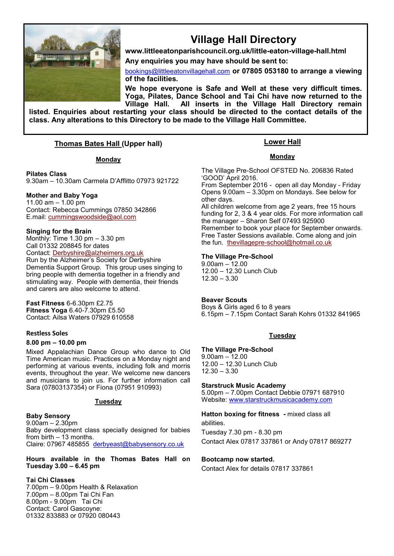

# **Village Hall Directory**

**www.littleeatonparishcouncil.org.uk/little-eaton-village-hall.html Any enquiries you may have should be sent to:**

[bookings@littleeatonvillagehall.com](mailto:bookings@littleeatonvillagehall.com) **or 07805 053180 to arrange a viewing of the facilities.** 

**We hope everyone is Safe and Well at these very difficult times. Yoga, Pilates, Dance School and Tai Chi have now returned to the Village Hall. All inserts in the Village Hall Directory remain** 

**listed. Enquiries about restarting your class should be directed to the contact details of the class. Any alterations to this Directory to be made to the Village Hall Committee.**

#### **Thomas Bates Hall (Upper hall)**

#### **Monday**

**Pilates Class**

9.30am – 10.30am Carmela D'Afflitto 07973 921722

**Mother and Baby Yoga**

11.00 am – 1.00 pm Contact: Rebecca Cummings 07850 342866 E.mail: [cummingswoodside@aol.com](mailto:cummingswoodside@aol.com)

#### **Singing for the Brain**

Monthly: Time 1.30 pm – 3.30 pm Call 01332 208845 for dates Contact: [Derbyshire@alzheimers.org.uk](mailto:Derbyshire@alzheimers.org.uk) Run by the Alzheimer's Society for Derbyshire Dementia Support Group. This group uses singing to bring people with dementia together in a friendly and stimulating way. People with dementia, their friends and carers are also welcome to attend.

**Fast Fitness** 6-6.30pm £2.75 **Fitness Yoga** 6.40-7.30pm £5.50 Contact: Ailsa Waters 07929 610558

#### **Restless Soles**

#### **8.00 pm – 10.00 pm**

Mixed Appalachian Dance Group who dance to Old Time American music. Practices on a Monday night and performing at various events, including folk and morris events, throughout the year. We welcome new dancers and musicians to join us. For further information call Sara (07803137354) or Fiona (07951 910993)

#### **Tuesday**

#### **Baby Sensory** 9.00am – 2.30pm Baby development class specially designed for babies from birth  $-13$  months. Claire: 07967 485855 [derbyeast@babysensory.co.uk](mailto:derbyeast@babysensory.co.uk)

**Hours available in the Thomas Bates Hall on Tuesday 3.00 – 6.45 pm**

#### **Tai Chi Classes**

7.00pm – 9.00pm Health & Relaxation 7.00pm – 8.00pm Tai Chi Fan 8.00pm - 9.00pm Tai Chi Contact: Carol Gascoyne: 01332 833883 or 07920 080443

#### **Lower Hall**

#### **Monday**

The Village Pre-School OFSTED No. 206836 Rated 'GOOD' April 2016.

From September 2016 - open all day Monday - Friday Opens 9.00am – 3.30pm on Mondays. See below for other days.

All children welcome from age 2 years, free 15 hours funding for 2, 3 & 4 year olds. For more information call the manager – Sharon Self 07493 925900 Remember to book your place for September onwards. Free Taster Sessions available. Come along and join the fun. thevillagepre-[school@hotmail.co.uk](mailto:thevillagepre-school@hotmail.co.uk)

#### **The Village Pre-School**

9.00am – 12.00 12.00 – 12.30 Lunch Club 12.30 – 3.30

#### **Beaver Scouts**

Boys & Girls aged 6 to 8 years 6.15pm – 7.15pm Contact Sarah Kohrs 01332 841965

#### **Tuesday**

#### **The Village Pre-School**

9.00am – 12.00 12.00 – 12.30 Lunch Club 12.30 – 3.30

#### **Starstruck Music Academy**

5.00pm – 7.00pm Contact Debbie 07971 687910 Website: [www.starstruckmusicacademy.com](http://www.starstruckmusicacademy.com)

**Hatton boxing for fitness -** mixed class all abilities.

Tuesday 7.30 pm - 8.30 pm Contact Alex 07817 337861 or Andy 07817 869277

#### **Bootcamp now started.**

Contact Alex for details 07817 337861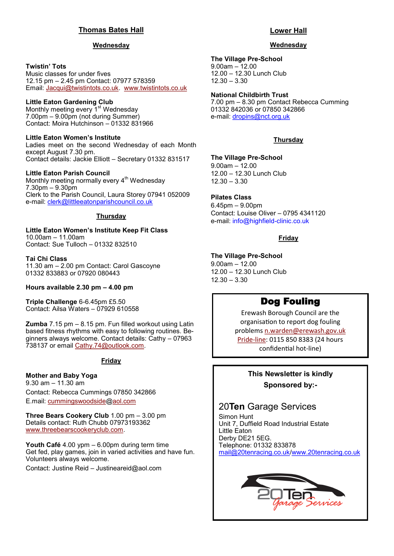#### **Thomas Bates Hall**

#### **Wednesday**

#### **Twistin' Tots**

Music classes for under fives 12.15 pm – 2.45 pm Contact: 07977 578359 Email: [Jacqui@twistintots.co.uk.](mailto:Jacqui@twistintots.co.uk) [www.twistintots.co.uk](http://www.twistintots.co.uk)

#### **Little Eaton Gardening Club**

Monthly meeting every 1<sup>st</sup> Wednesday 7.00pm – 9.00pm (not during Summer) Contact: Moira Hutchinson – 01332 831966

#### **Little Eaton Women's Institute**

Ladies meet on the second Wednesday of each Month except August 7.30 pm. Contact details: Jackie Elliott – Secretary 01332 831517

#### **Little Eaton Parish Council**

Monthly meeting normally every 4<sup>th</sup> Wednesday 7.30pm – 9.30pm Clerk to the Parish Council, Laura Storey 07941 052009 e-mail: [clerk@littleeatonparishcouncil.co.uk](mailto:clerk@littleeatonparishcouncil.co.uk)

#### **Thursday**

**Little Eaton Women's Institute Keep Fit Class** 10.00am – 11.00am Contact: Sue Tulloch – 01332 832510

#### **Tai Chi Class**

11.30 am – 2.00 pm Contact: Carol Gascoyne 01332 833883 or 07920 080443

**Hours available 2.30 pm – 4.00 pm**

**Triple Challenge** 6-6.45pm £5.50 Contact: Ailsa Waters – 07929 610558

**Zumba** 7.15 pm – 8.15 pm. Fun filled workout using Latin based fitness rhythms with easy to following routines. Beginners always welcome. Contact details: Cathy – 07963 738137 or email [Cathy.74@outlook.com.](mailto:Cathy.74@outlook.com)

#### **Friday**

#### **Mother and Baby Yoga** 9.30 am – 11.30 am

Contact: Rebecca Cummings 07850 342866 E.mail: [cummingswoodside@aol.com](mailto:cummingswoodside@aol.com)

**Three Bears Cookery Club** 1.00 pm – 3.00 pm Details contact: Ruth Chubb 07973193362 [www.threebearscookeryclub.com.](http://www.threebearscookeryclub.com)

**Youth Café** 4.00 ypm – 6.00pm during term time Get fed, play games, join in varied activities and have fun. Volunteers always welcome.

Contact: Justine Reid – [Justineareid@aol.com](mailto:Justineareid@aol.com)

#### **Lower Hall**

#### **Wednesday**

#### **The Village Pre-School**

9.00am – 12.00 12.00 – 12.30 Lunch Club 12.30 – 3.30

#### **National Childbirth Trust**

7.00 pm – 8.30 pm Contact Rebecca Cumming 01332 842036 or 07850 342866 e-mail: [dropins@nct.org.uk](mailto:dropins@nct.org.uk)

#### **Thursday**

#### **The Village Pre-School**

9.00am – 12.00 12.00 – 12.30 Lunch Club 12.30 – 3.30

#### **Pilates Class**

6.45pm – 9.00pm Contact: Louise Oliver – 0795 4341120 e-mail: info@highfield-clinic.co.uk

#### **Friday**

#### **The Village Pre-School**

9.00am – 12.00 12.00 – 12.30 Lunch Club 12.30 – 3.30

# Dog Fouling

Erewash Borough Council are the organisation to report dog fouling problems [n.warden@erewash.gov.uk](mailto:n.warden@erewash.gov.uk?subject=dog%20fouling) [Pride](https://www.erewash.gov.uk/index.php/information-for-tenants-owners-and-landlords/letting-privately-rented-homes-legal-minimum-energy-efficiency-standard.html?id=925)-line: 0115 850 8383 (24 hours confidential hot-line)

# **This Newsletter is kindly Sponsored by:-**

# 20**Ten** Garage Services

Simon Hunt Unit 7, Duffield Road Industrial Estate Little Eaton Derby DE21 5EG. Telephone: 01332 833878 [mail@20tenracing.co.uk/](mailto:mail@20tenracing.co.uk)[www.20tenracing.co.uk](http://www.20tenracing.co.uk/)

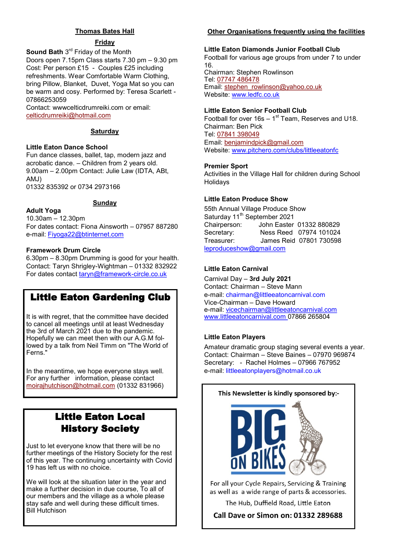#### **Thomas Bates Hall**

#### **Friday**

**Sound Bath** 3<sup>rd</sup> Friday of the Month Doors open 7.15pm Class starts 7.30 pm – 9.30 pm Cost: Per person £15 - Couples £25 including refreshments. Wear Comfortable Warm Clothing, bring Pillow, Blanket, Duvet, Yoga Mat so you can be warm and cosy. Performed by: Teresa Scarlett - 07866253059

Contact: wwwcelticdrumreiki.com or email: [celticdrumreiki@hotmail.com](mailto:celticdrumreiki@hotmail.com)

#### **Saturday**

#### **Little Eaton Dance School**

Fun dance classes, ballet, tap, modern jazz and acrobatic dance. – Children from 2 years old. 9.00am – 2.00pm Contact: Julie Law (IDTA, ABt, AMJ)

01332 835392 or 0734 2973166

#### **Sunday**

#### **Adult Yoga**

10.30am – 12.30pm For dates contact: Fiona Ainsworth – 07957 887280 e-mail: Fiyoga22@btinternet.com

#### **Framework Drum Circle**

6.30pm – 8.30pm Drumming is good for your health. Contact: Taryn Shrigley-Wightman – 01332 832922 For dates contact taryn@framework-circle.co.uk

# Little Eaton Gardening Club

It is with regret, that the committee have decided to cancel all meetings until at least Wednesday the 3rd of March 2021 due to the pandemic. Hopefully we can meet then with our A.G.M followed by a talk from Neil Timm on "The World of Ferns."

In the meantime, we hope everyone stays well. For any further information, please contact [moirajhutchison@hotmail.com](mailto:moirajhutchison@hotmail.com) (01332 831966)

# Little Eaton Local History Society

Just to let everyone know that there will be no further meetings of the History Society for the rest of this year. The continuing uncertainty with Covid 19 has left us with no choice.

We will look at the situation later in the year and make a further decision in due course, To all of our members and the village as a whole please stay safe and well during these difficult times. Bill Hutchison

#### **Other Organisations frequently using the facilities**

#### **Little Eaton Diamonds Junior Football Club**

Football for various age groups from under 7 to under 16. Chairman: Stephen Rowlinson Tel: [07747 486478](tel:07747486478) Email: [stephen\\_rowlinson@yahoo.co.uk](mailto:stephen_rowlinson@yahoo.co.uk) Website: www.ledfc.co.uk

#### **Little Eaton Senior Football Club**

Football for over  $16s - 1^{st}$  Team, Reserves and U18. Chairman: Ben Pick Tel: [07841 398049](tel:07841398049) Email: [benjamindpick@gmail.com](mailto:benjamindpick@gmail.com) Website: www.pitchero.com/clubs/littleeatonfc

#### **Premier Sport**

Activities in the Village Hall for children during School Holidays

#### **Little Eaton Produce Show**

55th Annual Village Produce Show Saturday 11<sup>th</sup> September 2021 Chairperson: John Easter 01332 880829 Secretary: Ness Reed 07974 101024 Treasurer: James Reid 07801 730598 [leproduceshow@gmail.com](mailto:leproduceshow@gmail.com)

#### **Little Eaton Carnival**

Carnival Day – **3rd July 2021** Contact: Chairman – Steve Mann e-mail: chairman@littleeatoncarnival.com Vice-Chairman – Dave Howard e-mail: [vicechairman@littleeatoncarnival.com](mailto:vicechairman@littleeatoncarnival.com) [www.littleeatoncarnival.com](http://www.littleeatoncarnival.com) 07866 265804

#### **Little Eaton Players**

Amateur dramatic group staging several events a year. Contact: Chairman – Steve Baines – 07970 969874 Secretary: - Rachel Holmes – 07966 767952 e-mail: littleeatonplayers@hotmail.co.uk

# This Newsletter is kindly sponsored by:-

For all your Cycle Repairs, Servicing & Training as well as a wide range of parts & accessories.

The Hub, Duffield Road, Little Eaton

**Call Dave or Simon on: 01332 289688**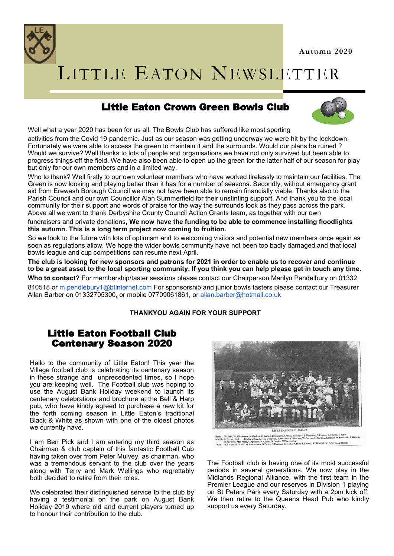**Autumn 2020**



# LITTLE EATON NEWSLETTER

# Little Eaton Crown Green Bowls Club



Well what a year 2020 has been for us all. The Bowls Club has suffered like most sporting

activities from the Covid 19 pandemic. Just as our season was getting underway we were hit by the lockdown. Fortunately we were able to access the green to maintain it and the surrounds. Would our plans be ruined ? Would we survive? Well thanks to lots of people and organisations we have not only survived but been able to progress things off the field. We have also been able to open up the green for the latter half of our season for play but only for our own members and in a limited way.

Who to thank? Well firstly to our own volunteer members who have worked tirelessly to maintain our facilities. The Green is now looking and playing better than it has for a number of seasons. Secondly, without emergency grant aid from Erewash Borough Council we may not have been able to remain financially viable. Thanks also to the Parish Council and our own Councillor Alan Summerfield for their unstinting support. And thank you to the local community for their support and words of praise for the way the surrounds look as they pass across the park. Above all we want to thank Derbyshire County Council Action Grants team, as together with our own

fundraisers and private donations, **We now have the funding to be able to commence installing floodlights this autumn. This is a long term project now coming to fruition.**

So we look to the future with lots of optimism and to welcoming visitors and potential new members once again as soon as regulations allow. We hope the wider bowls community have not been too badly damaged and that local bowls league and cup competitions can resume next April.

**The club is looking for new sponsors and patrons for 2021 in order to enable us to recover and continue to be a great asset to the local sporting community. If you think you can help please get in touch any time.**

**Who to contact?** For membership/taster sessions please contact our Chairperson Marilyn Pendelbury on 01332 840518 or m.pendlebury1@btinternet.com For sponsorship and junior bowls tasters please contact our Treasurer Allan Barber on 01332705300, or mobile 07709061861, or allan.barber@hotmail.co.uk

#### **THANKYOU AGAIN FOR YOUR SUPPORT**

# Little Eaton Football Club Centenary Season 2020

Hello to the community of Little Eaton! This year the Village football club is celebrating its centenary season in these strange and unprecedented times, so I hope you are keeping well. The Football club was hoping to use the August Bank Holiday weekend to launch its centenary celebrations and brochure at the Bell & Harp pub, who have kindly agreed to purchase a new kit for the forth coming season in Little Eaton's traditional Black & White as shown with one of the oldest photos we currently have.

I am Ben Pick and I am entering my third season as Chairman & club captain of this fantastic Football Cub having taken over from Peter Mulvey, as chairman, who was a tremendous servant to the club over the years along with Terry and Mark Wellings who regrettably both decided to retire from their roles.

We celebrated their distinguished service to the club by having a testimonial on the park on August Bank Holiday 2019 where old and current players turned up to honour their contribution to the club.



The Football club is having one of its most successful periods in several generations. We now play in the Midlands Regional Alliance, with the first team in the Premier League and our reserves in Division 1 playing on St Peters Park every Saturday with a 2pm kick off. We then retire to the Queens Head Pub who kindly support us every Saturday.